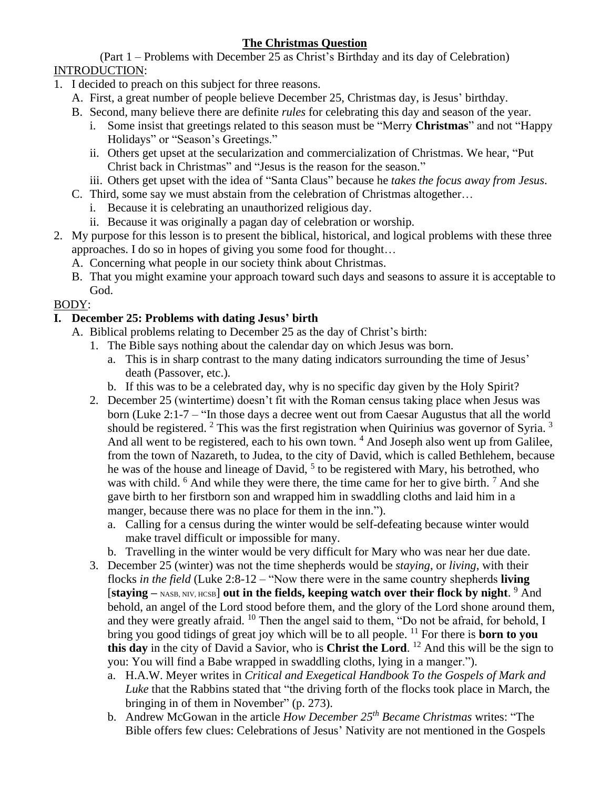# **The Christmas Question**

(Part 1 – Problems with December 25 as Christ's Birthday and its day of Celebration) INTRODUCTION:

- 1. I decided to preach on this subject for three reasons.
	- A. First, a great number of people believe December 25, Christmas day, is Jesus' birthday.
	- B. Second, many believe there are definite *rules* for celebrating this day and season of the year.
		- i. Some insist that greetings related to this season must be "Merry **Christmas**" and not "Happy Holidays" or "Season's Greetings."
		- ii. Others get upset at the secularization and commercialization of Christmas. We hear, "Put Christ back in Christmas" and "Jesus is the reason for the season."
		- iii. Others get upset with the idea of "Santa Claus" because he *takes the focus away from Jesus*.
	- C. Third, some say we must abstain from the celebration of Christmas altogether…
		- i. Because it is celebrating an unauthorized religious day.
		- ii. Because it was originally a pagan day of celebration or worship.
- 2. My purpose for this lesson is to present the biblical, historical, and logical problems with these three approaches. I do so in hopes of giving you some food for thought…
	- A. Concerning what people in our society think about Christmas.
	- B. That you might examine your approach toward such days and seasons to assure it is acceptable to God.

## BODY:

## **I. December 25: Problems with dating Jesus' birth**

- A. Biblical problems relating to December 25 as the day of Christ's birth:
	- 1. The Bible says nothing about the calendar day on which Jesus was born.
		- a. This is in sharp contrast to the many dating indicators surrounding the time of Jesus' death (Passover, etc.).
		- b. If this was to be a celebrated day, why is no specific day given by the Holy Spirit?
	- 2. December 25 (wintertime) doesn't fit with the Roman census taking place when Jesus was born (Luke 2:1-7 – "In those days a decree went out from Caesar Augustus that all the world should be registered. <sup>2</sup> This was the first registration when Quirinius was governor of Syria. <sup>3</sup> And all went to be registered, each to his own town. <sup>4</sup> And Joseph also went up from Galilee, from the town of Nazareth, to Judea, to the city of David, which is called Bethlehem, because he was of the house and lineage of David,  $<sup>5</sup>$  to be registered with Mary, his betrothed, who</sup> was with child.  $6$  And while they were there, the time came for her to give birth.  $7$  And she gave birth to her firstborn son and wrapped him in swaddling cloths and laid him in a manger, because there was no place for them in the inn.").
		- a. Calling for a census during the winter would be self-defeating because winter would make travel difficult or impossible for many.
		- b. Travelling in the winter would be very difficult for Mary who was near her due date.
	- 3. December 25 (winter) was not the time shepherds would be *staying*, or *living*, with their flocks *in the field* (Luke 2:8-12 – "Now there were in the same country shepherds **living** [staying – NASB, NIV, HCSB] out in the fields, keeping watch over their flock by night. <sup>9</sup> And behold, an angel of the Lord stood before them, and the glory of the Lord shone around them, and they were greatly afraid. <sup>10</sup> Then the angel said to them, "Do not be afraid, for behold, I bring you good tidings of great joy which will be to all people. <sup>11</sup> For there is **born to you this day** in the city of David a Savior, who is **Christ the Lord**. <sup>12</sup> And this will be the sign to you: You will find a Babe wrapped in swaddling cloths, lying in a manger.").
		- a. H.A.W. Meyer writes in *Critical and Exegetical Handbook To the Gospels of Mark and Luke* that the Rabbins stated that "the driving forth of the flocks took place in March, the bringing in of them in November" (p. 273).
		- b. Andrew McGowan in the article *How December 25th Became Christmas* writes: "The Bible offers few clues: Celebrations of Jesus' Nativity are not mentioned in the Gospels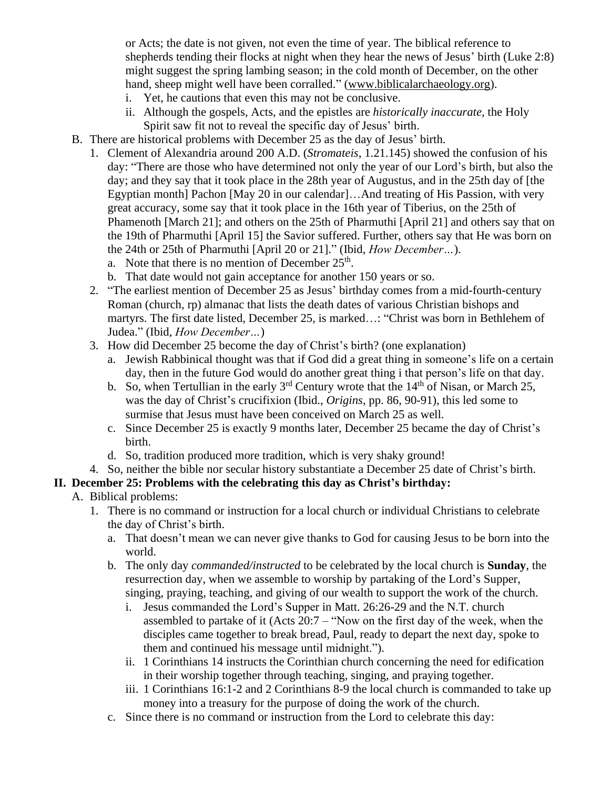or Acts; the date is not given, not even the time of year. The biblical reference to shepherds tending their flocks at night when they hear the news of Jesus' birth (Luke 2:8) might suggest the spring lambing season; in the cold month of December, on the other hand, sheep might well have been corralled." [\(www.biblicalarchaeology.org\)](http://www.biblicalarchaeology.org/).

- i. Yet, he cautions that even this may not be conclusive.
- ii. Although the gospels, Acts, and the epistles are *historically inaccurate,* the Holy Spirit saw fit not to reveal the specific day of Jesus' birth.
- B. There are historical problems with December 25 as the day of Jesus' birth.
	- 1. Clement of Alexandria around 200 A.D. (*Stromateis,* 1.21.145) showed the confusion of his day: "There are those who have determined not only the year of our Lord's birth, but also the day; and they say that it took place in the 28th year of Augustus, and in the 25th day of [the Egyptian month] Pachon [May 20 in our calendar]…And treating of His Passion, with very great accuracy, some say that it took place in the 16th year of Tiberius, on the 25th of Phamenoth [March 21]; and others on the 25th of Pharmuthi [April 21] and others say that on the 19th of Pharmuthi [April 15] the Savior suffered. Further, others say that He was born on the 24th or 25th of Pharmuthi [April 20 or 21]." (Ibid, *How December…*).
		- a. Note that there is no mention of December  $25<sup>th</sup>$ .
		- b. That date would not gain acceptance for another 150 years or so.
	- 2. "The earliest mention of December 25 as Jesus' birthday comes from a mid-fourth-century Roman (church, rp) almanac that lists the death dates of various Christian bishops and martyrs. The first date listed, December 25, is marked…: "Christ was born in Bethlehem of Judea." (Ibid, *How December…*)
	- 3. How did December 25 become the day of Christ's birth? (one explanation)
		- a. Jewish Rabbinical thought was that if God did a great thing in someone's life on a certain day, then in the future God would do another great thing i that person's life on that day.
		- b. So, when Tertullian in the early  $3<sup>rd</sup>$  Century wrote that the  $14<sup>th</sup>$  of Nisan, or March 25, was the day of Christ's crucifixion (Ibid., *Origins*, pp. 86, 90-91), this led some to surmise that Jesus must have been conceived on March 25 as well.
		- c. Since December 25 is exactly 9 months later, December 25 became the day of Christ's birth.
		- d. So, tradition produced more tradition, which is very shaky ground!
	- 4. So, neither the bible nor secular history substantiate a December 25 date of Christ's birth.

#### **II. December 25: Problems with the celebrating this day as Christ's birthday:**

- A. Biblical problems:
	- 1. There is no command or instruction for a local church or individual Christians to celebrate the day of Christ's birth.
		- a. That doesn't mean we can never give thanks to God for causing Jesus to be born into the world.
		- b. The only day *commanded/instructed* to be celebrated by the local church is **Sunday**, the resurrection day, when we assemble to worship by partaking of the Lord's Supper, singing, praying, teaching, and giving of our wealth to support the work of the church.
			- i. Jesus commanded the Lord's Supper in Matt. 26:26-29 and the N.T. church assembled to partake of it (Acts 20:7 – "Now on the first day of the week, when the disciples came together to break bread, Paul, ready to depart the next day, spoke to them and continued his message until midnight.").
			- ii. 1 Corinthians 14 instructs the Corinthian church concerning the need for edification in their worship together through teaching, singing, and praying together.
			- iii. 1 Corinthians 16:1-2 and 2 Corinthians 8-9 the local church is commanded to take up money into a treasury for the purpose of doing the work of the church.
		- c. Since there is no command or instruction from the Lord to celebrate this day: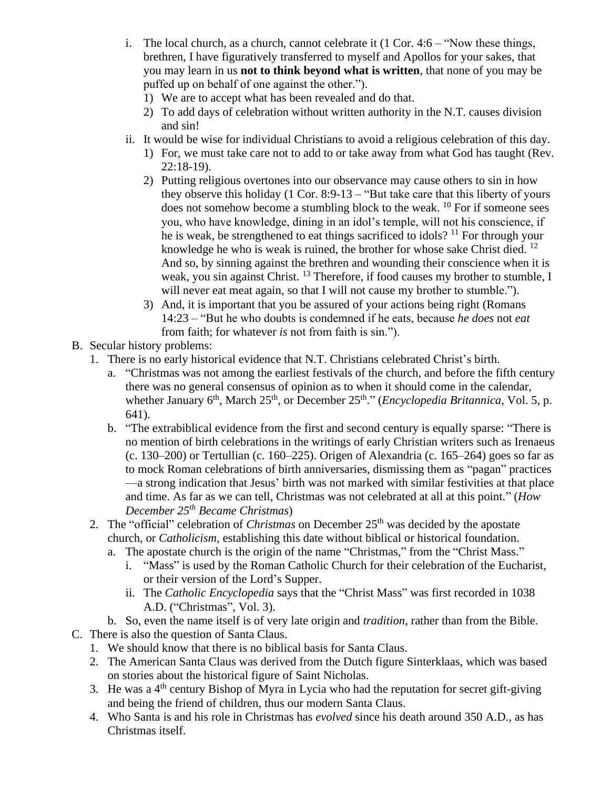- i. The local church, as a church, cannot celebrate it  $(1 \text{ Cor. } 4:6 \text{``Now these things,})$ brethren, I have figuratively transferred to myself and Apollos for your sakes, that you may learn in us **not to think beyond what is written**, that none of you may be puffed up on behalf of one against the other.").
	- 1) We are to accept what has been revealed and do that.
	- 2) To add days of celebration without written authority in the N.T. causes division and sin!
- ii. It would be wise for individual Christians to avoid a religious celebration of this day.
	- 1) For, we must take care not to add to or take away from what God has taught (Rev. 22:18-19).
	- 2) Putting religious overtones into our observance may cause others to sin in how they observe this holiday (1 Cor. 8:9-13 – "But take care that this liberty of yours does not somehow become a stumbling block to the weak. <sup>10</sup> For if someone sees you, who have knowledge, dining in an idol's temple, will not his conscience, if he is weak, be strengthened to eat things sacrificed to idols?  $11$  For through your knowledge he who is weak is ruined, the brother for whose sake Christ died. <sup>12</sup> And so, by sinning against the brethren and wounding their conscience when it is weak, you sin against Christ. <sup>13</sup> Therefore, if food causes my brother to stumble, I will never eat meat again, so that I will not cause my brother to stumble.").
	- 3) And, it is important that you be assured of your actions being right (Romans 14:23 – "But he who doubts is condemned if he eats, because *he does* not *eat* from faith; for whatever *is* not from faith is sin.").
- B. Secular history problems:
	- 1. There is no early historical evidence that N.T. Christians celebrated Christ's birth.
		- a. "Christmas was not among the earliest festivals of the church, and before the fifth century there was no general consensus of opinion as to when it should come in the calendar, whether January 6<sup>th</sup>, March 25<sup>th</sup>, or December 25<sup>th</sup>." (*Encyclopedia Britannica*, Vol. 5, p. 641).
		- b. "The extrabiblical evidence from the first and second century is equally sparse: "There is no mention of birth celebrations in the writings of early Christian writers such as Irenaeus  $(c. 130–200)$  or Tertullian  $(c. 160–225)$ . Origen of Alexandria  $(c. 165–264)$  goes so far as to mock Roman celebrations of birth anniversaries, dismissing them as "pagan" practices —a strong indication that Jesus' birth was not marked with similar festivities at that place and time. As far as we can tell, Christmas was not celebrated at all at this point." (*How December 25th Became Christmas*)
	- 2. The "official" celebration of *Christmas* on December 25<sup>th</sup> was decided by the apostate church, or *Catholicism*, establishing this date without biblical or historical foundation.
		- a. The apostate church is the origin of the name "Christmas," from the "Christ Mass."
			- i. "Mass" is used by the Roman Catholic Church for their celebration of the Eucharist, or their version of the Lord's Supper.
			- ii. The *Catholic Encyclopedia* says that the "Christ Mass" was first recorded in 1038 A.D. ("Christmas", Vol. 3).
		- b. So, even the name itself is of very late origin and *tradition*, rather than from the Bible.
- C. There is also the question of Santa Claus.
	- 1. We should know that there is no biblical basis for Santa Claus.
	- 2. The American Santa Claus was derived from the Dutch figure Sinterklaas, which was based on stories about the historical figure of Saint Nicholas.
	- 3. He was a  $4<sup>th</sup>$  century Bishop of Myra in Lycia who had the reputation for secret gift-giving and being the friend of children, thus our modern Santa Claus.
	- 4. Who Santa is and his role in Christmas has *evolved* since his death around 350 A.D., as has Christmas itself.